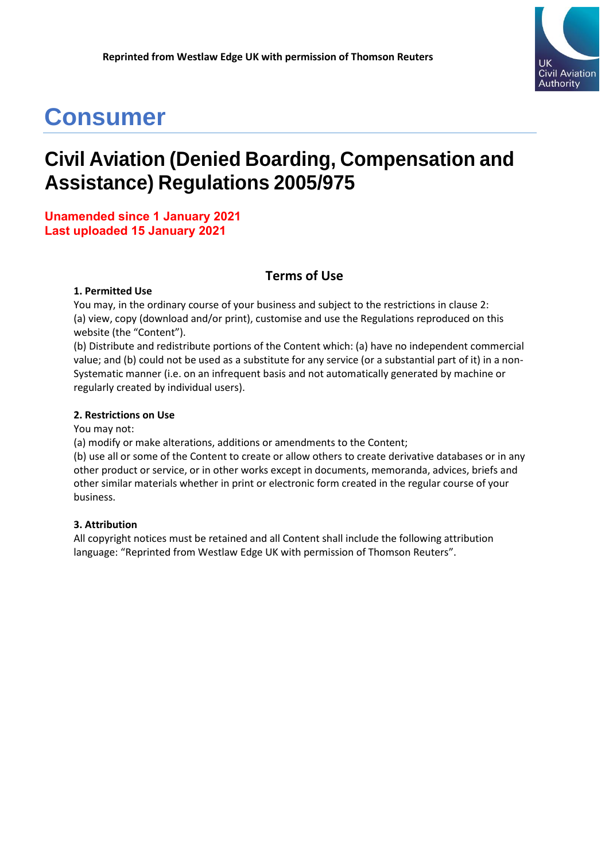# **Consumer**

# **Civil Aviation (Denied Boarding, Compensation and Assistance) Regulations 2005/975**

# **Unamended since 1 January 2021 Last uploaded 15 January 2021**

# **Terms of Use**

#### **1. Permitted Use**

You may, in the ordinary course of your business and subject to the restrictions in clause 2: (a) view, copy (download and/or print), customise and use the Regulations reproduced on this website (the "Content").

(b) Distribute and redistribute portions of the Content which: (a) have no independent commercial value; and (b) could not be used as a substitute for any service (or a substantial part of it) in a non-Systematic manner (i.e. on an infrequent basis and not automatically generated by machine or regularly created by individual users).

#### **2. Restrictions on Use**

You may not:

(a) modify or make alterations, additions or amendments to the Content;

(b) use all or some of the Content to create or allow others to create derivative databases or in any other product or service, or in other works except in documents, memoranda, advices, briefs and other similar materials whether in print or electronic form created in the regular course of your business.

#### **3. Attribution**

All copyright notices must be retained and all Content shall include the following attribution language: "Reprinted from Westlaw Edge UK with permission of Thomson Reuters".

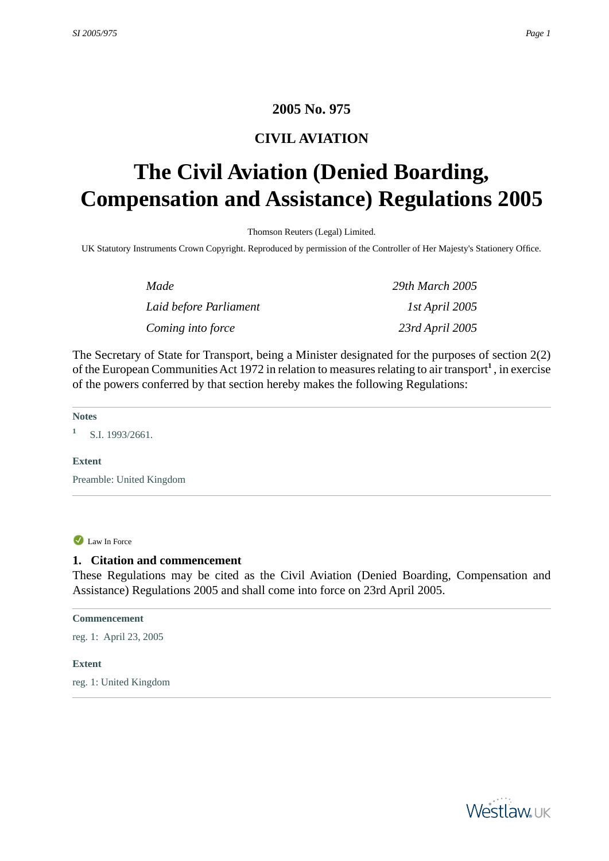# **2005 No. 975**

# **CIVIL AVIATION**

# <span id="page-1-1"></span><span id="page-1-0"></span>**The Civil Aviation (Denied Boarding, Compensation and Assistance) Regulations 2005**

Thomson Reuters (Legal) Limited.

UK Statutory Instruments Crown Copyright. Reproduced by permission of the Controller of Her Majesty's Stationery Office.

| Made                   | 29th March 2005 |  |
|------------------------|-----------------|--|
| Laid before Parliament | 1st April 2005  |  |
| Coming into force      | 23rd April 2005 |  |

The Secretary of State for Transport, being a Minister designated for the purposes of section 2(2) of the European Communities Act 1972 in relation to measures relating to air transport**<sup>1</sup>** , in exercise of the powers conferred by that section hereby makes the following Regulations:

#### **Notes**

**1** S.I. 1993/2661.

#### <span id="page-1-2"></span>**Extent**

Preamble: United Kingdom

#### Law In Force

#### **1. Citation and commencement**

These Regulations may be cited as the Civil Aviation (Denied Boarding, Compensation and Assistance) Regulations 2005 and shall come into force on 23rd April 2005.

#### **Commencement**

<span id="page-1-3"></span>reg. 1: April 23, 2005

#### **Extent**

reg. 1: United Kingdom

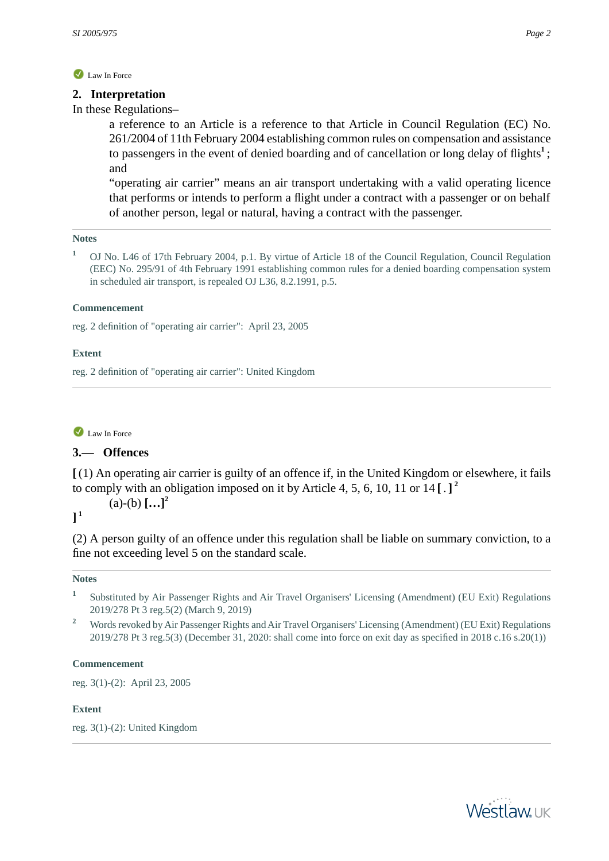# **2. Interpretation**

In these Regulations–

a reference to an Article is a reference to that Article in Council Regulation (EC) No. 261/2004 of 11th February 2004 establishing common rules on compensation and assistance to passengers in the event of denied boarding and of cancellation or long delay of flights**<sup>1</sup>** ; and

"operating air carrier" means an air transport undertaking with a valid operating licence that performs or intends to perform a flight under a contract with a passenger or on behalf of another person, legal or natural, having a contract with the passenger.

#### **Notes**

**<sup>1</sup>** OJ No. L46 of 17th February 2004, p.1. By virtue of Article 18 of the Council Regulation, Council Regulation (EEC) No. 295/91 of 4th February 1991 establishing common rules for a denied boarding compensation system in scheduled air transport, is repealed OJ L36, 8.2.1991, p.5.

#### **Commencement**

reg. 2 definition of "operating air carrier": April 23, 2005

#### <span id="page-2-0"></span>**Extent**

reg. 2 definition of "operating air carrier": United Kingdom

#### Law In Force

# **3.— Offences**

**[** (1) An operating air carrier is guilty of an offence if, in the United Kingdom or elsewhere, it fails to comply with an obligation imposed on it by Article 4, 5, 6, 10, 11 or 14 **[** . **] 2**

 $(a)-(b)$ **[...]**<sup>2</sup>

# **] 1**

(2) A person guilty of an offence under this regulation shall be liable on summary conviction, to a fine not exceeding level 5 on the standard scale.

#### **Notes**

- **1** Substituted by Air Passenger Rights and Air Travel Organisers' Licensing (Amendment) (EU Exit) Regulations 2019/278 Pt 3 reg.5(2) (March 9, 2019)
- **<sup>2</sup>** Words revoked by Air Passenger Rights and Air Travel Organisers' Licensing (Amendment) (EU Exit) Regulations 2019/278 Pt 3 reg.5(3) (December 31, 2020: shall come into force on exit day as specified in 2018 c.16 s.20(1))

#### **Commencement**

<span id="page-2-1"></span>reg. 3(1)-(2): April 23, 2005

#### **Extent**

reg. 3(1)-(2): United Kingdom

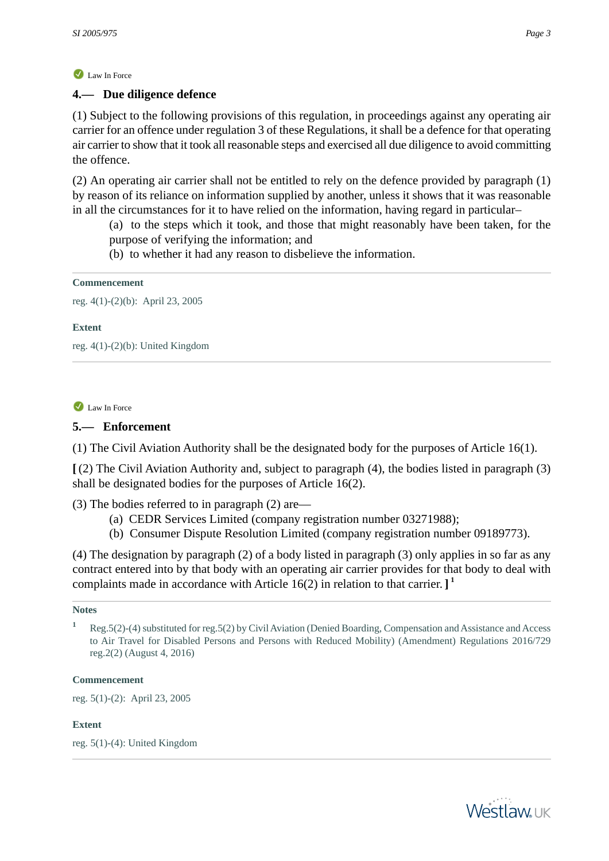# Law In Force

# **4.— Due diligence defence**

(1) Subject to the following provisions of this regulation, in proceedings against any operating air carrier for an offence under regulation 3 of these Regulations, it shall be a defence for that operating air carrier to show that it took all reasonable steps and exercised all due diligence to avoid committing the offence.

(2) An operating air carrier shall not be entitled to rely on the defence provided by paragraph (1) by reason of its reliance on information supplied by another, unless it shows that it was reasonable in all the circumstances for it to have relied on the information, having regard in particular–

- (a) to the steps which it took, and those that might reasonably have been taken, for the purpose of verifying the information; and
- (b) to whether it had any reason to disbelieve the information.

#### **Commencement**

reg. 4(1)-(2)(b): April 23, 2005

#### <span id="page-3-0"></span>**Extent**

reg. 4(1)-(2)(b): United Kingdom

Law In Force

### **5.— Enforcement**

(1) The Civil Aviation Authority shall be the designated body for the purposes of Article 16(1).

**[** (2) The Civil Aviation Authority and, subject to paragraph (4), the bodies listed in paragraph (3) shall be designated bodies for the purposes of Article 16(2).

(3) The bodies referred to in paragraph (2) are—

- (a) CEDR Services Limited (company registration number 03271988);
- (b) Consumer Dispute Resolution Limited (company registration number 09189773).

(4) The designation by paragraph (2) of a body listed in paragraph (3) only applies in so far as any contract entered into by that body with an operating air carrier provides for that body to deal with complaints made in accordance with Article 16(2) in relation to that carrier. **] 1**

#### **Notes**

#### **Commencement**

reg. 5(1)-(2): April 23, 2005

#### **Extent**

reg. 5(1)-(4): United Kingdom



**<sup>1</sup>** Reg.5(2)-(4) substituted for reg.5(2) by Civil Aviation (Denied Boarding, Compensation and Assistance and Access to Air Travel for Disabled Persons and Persons with Reduced Mobility) (Amendment) Regulations 2016/729 reg.2(2) (August 4, 2016)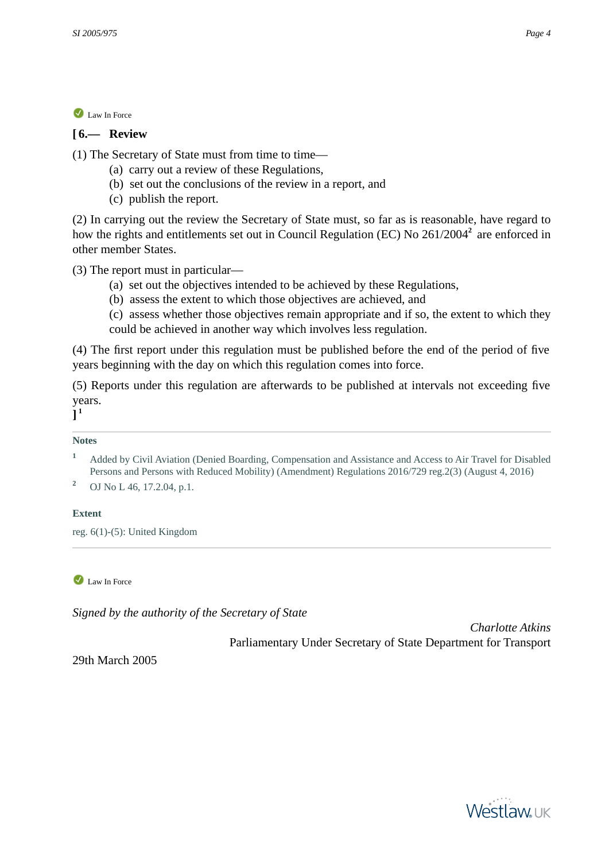<span id="page-4-0"></span>Law In Force

# **[ 6.— Review**

(1) The Secretary of State must from time to time—

- (a) carry out a review of these Regulations,
- (b) set out the conclusions of the review in a report, and
- (c) publish the report.

(2) In carrying out the review the Secretary of State must, so far as is reasonable, have regard to how the rights and entitlements set out in Council Regulation (EC) No 261/2004**<sup>2</sup>** are enforced in other member States.

(3) The report must in particular—

- (a) set out the objectives intended to be achieved by these Regulations,
- (b) assess the extent to which those objectives are achieved, and

(c) assess whether those objectives remain appropriate and if so, the extent to which they could be achieved in another way which involves less regulation.

(4) The first report under this regulation must be published before the end of the period of five years beginning with the day on which this regulation comes into force.

(5) Reports under this regulation are afterwards to be published at intervals not exceeding five years.

**] 1**

### **Notes**

- **<sup>1</sup>** Added by Civil Aviation (Denied Boarding, Compensation and Assistance and Access to Air Travel for Disabled Persons and Persons with Reduced Mobility) (Amendment) Regulations 2016/729 reg.2(3) (August 4, 2016)
- **<sup>2</sup>** OJ No L 46, 17.2.04, p.1.

#### <span id="page-4-1"></span>**Extent**

reg. 6(1)-(5): United Kingdom

Law In Force

<span id="page-4-2"></span>*Signed by the authority of the Secretary of State*

*Charlotte Atkins* Parliamentary Under Secretary of State Department for Transport

29th March 2005

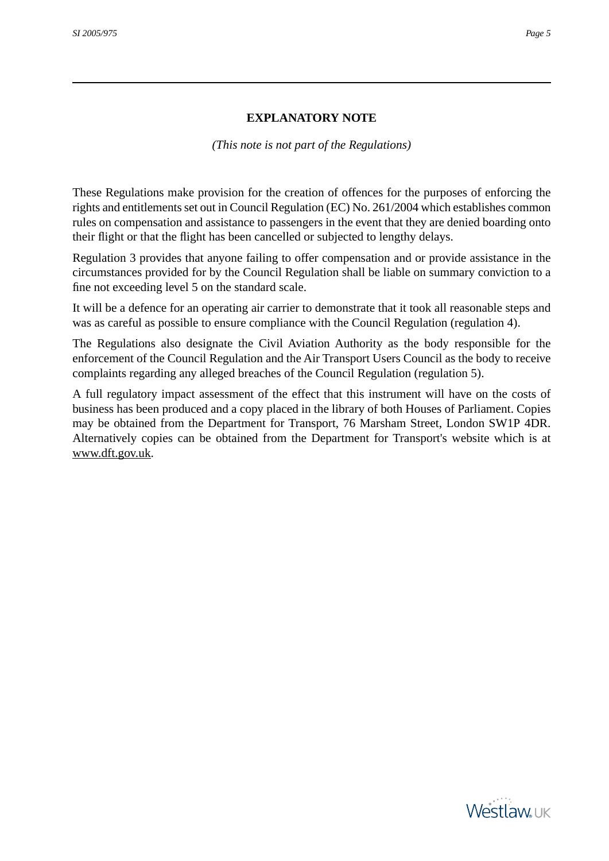### **EXPLANATORY NOTE**

#### *(This note is not part of the Regulations)*

<span id="page-5-0"></span>These Regulations make provision for the creation of offences for the purposes of enforcing the rights and entitlements set out in Council Regulation (EC) No. 261/2004 which establishes common rules on compensation and assistance to passengers in the event that they are denied boarding onto their flight or that the flight has been cancelled or subjected to lengthy delays.

Regulation 3 provides that anyone failing to offer compensation and or provide assistance in the circumstances provided for by the Council Regulation shall be liable on summary conviction to a fine not exceeding level 5 on the standard scale.

It will be a defence for an operating air carrier to demonstrate that it took all reasonable steps and was as careful as possible to ensure compliance with the Council Regulation (regulation 4).

The Regulations also designate the Civil Aviation Authority as the body responsible for the enforcement of the Council Regulation and the Air Transport Users Council as the body to receive complaints regarding any alleged breaches of the Council Regulation (regulation 5).

A full regulatory impact assessment of the effect that this instrument will have on the costs of business has been produced and a copy placed in the library of both Houses of Parliament. Copies may be obtained from the Department for Transport, 76 Marsham Street, London SW1P 4DR. Alternatively copies can be obtained from the Department for Transport's website which is at www.dft.gov.uk.

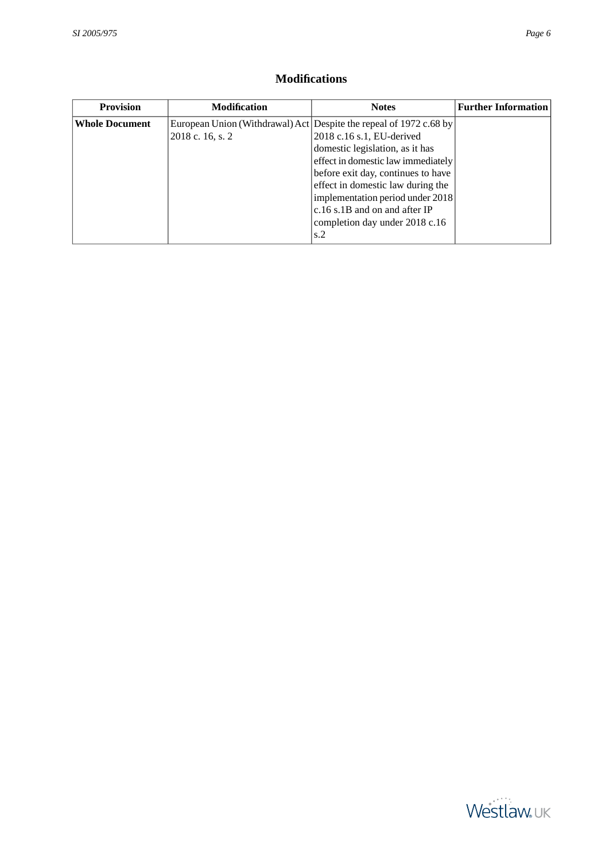# **Modifications**

<span id="page-6-0"></span>

| <b>Provision</b>      | <b>Modification</b> | <b>Notes</b>                                                       | <b>Further Information</b> |
|-----------------------|---------------------|--------------------------------------------------------------------|----------------------------|
| <b>Whole Document</b> |                     | European Union (Withdrawal) Act Despite the repeal of 1972 c.68 by |                            |
|                       | 2018 c. 16, s. 2    | 2018 c.16 s.1, EU-derived                                          |                            |
|                       |                     | domestic legislation, as it has                                    |                            |
|                       |                     | effect in domestic law immediately                                 |                            |
|                       |                     | before exit day, continues to have                                 |                            |
|                       |                     | effect in domestic law during the                                  |                            |
|                       |                     | implementation period under 2018                                   |                            |
|                       |                     | $ c.16 s.1B$ and on and after IP                                   |                            |
|                       |                     | completion day under 2018 c.16                                     |                            |
|                       |                     | s.2                                                                |                            |